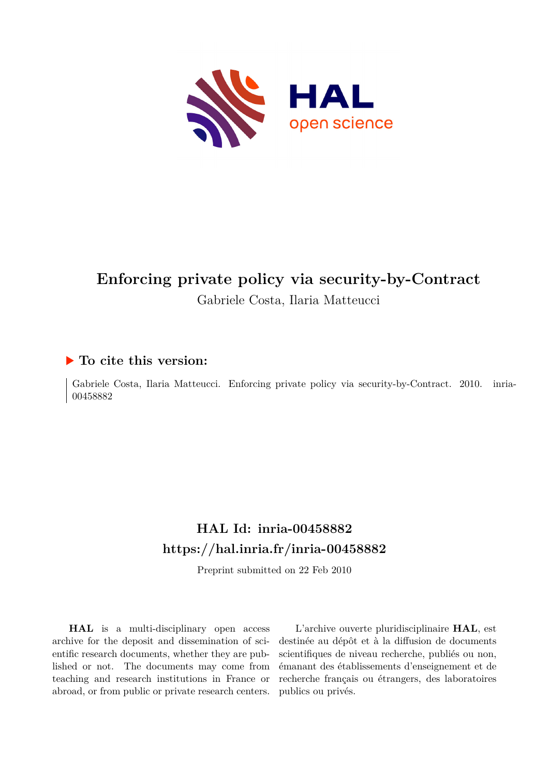

# **Enforcing private policy via security-by-Contract** Gabriele Costa, Ilaria Matteucci

### **To cite this version:**

Gabriele Costa, Ilaria Matteucci. Enforcing private policy via security-by-Contract. 2010. inria-00458882

## **HAL Id: inria-00458882 <https://hal.inria.fr/inria-00458882>**

Preprint submitted on 22 Feb 2010

**HAL** is a multi-disciplinary open access archive for the deposit and dissemination of scientific research documents, whether they are published or not. The documents may come from teaching and research institutions in France or abroad, or from public or private research centers.

L'archive ouverte pluridisciplinaire **HAL**, est destinée au dépôt et à la diffusion de documents scientifiques de niveau recherche, publiés ou non, émanant des établissements d'enseignement et de recherche français ou étrangers, des laboratoires publics ou privés.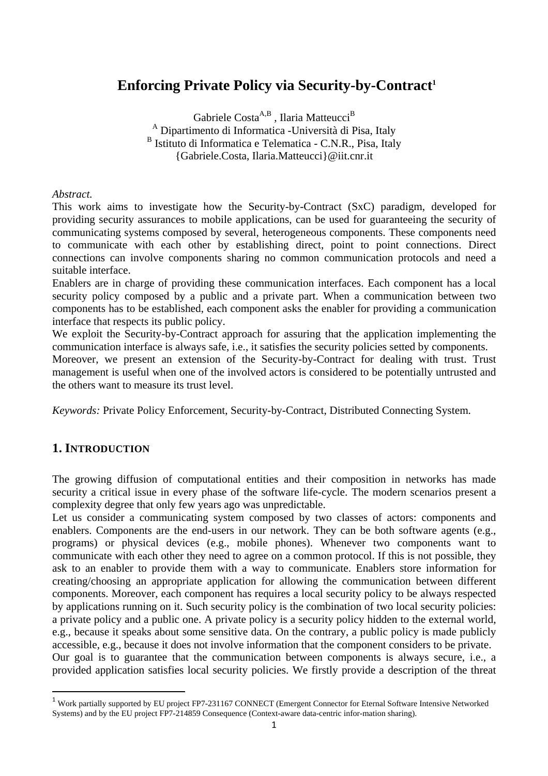### **Enforcing Private Policy via Security-by-Contract<sup>1</sup>**

Gabriele Costa $A,B}$ , Ilaria Matteucci $^B$ A Dipartimento di Informatica -Università di Pisa, Italy <sup>B</sup> Istituto di Informatica e Telematica - C.N.R., Pisa, Italy {Gabriele.Costa, Ilaria.Matteucci}@iit.cnr.it

*Abstract.* 

This work aims to investigate how the Security-by-Contract (SxC) paradigm, developed for providing security assurances to mobile applications, can be used for guaranteeing the security of communicating systems composed by several, heterogeneous components. These components need to communicate with each other by establishing direct, point to point connections. Direct connections can involve components sharing no common communication protocols and need a suitable interface.

Enablers are in charge of providing these communication interfaces. Each component has a local security policy composed by a public and a private part. When a communication between two components has to be established, each component asks the enabler for providing a communication interface that respects its public policy.

We exploit the Security-by-Contract approach for assuring that the application implementing the communication interface is always safe, i.e., it satisfies the security policies setted by components.

Moreover, we present an extension of the Security-by-Contract for dealing with trust. Trust management is useful when one of the involved actors is considered to be potentially untrusted and the others want to measure its trust level.

*Keywords:* Private Policy Enforcement, Security-by-Contract, Distributed Connecting System.

#### **1. INTRODUCTION**

The growing diffusion of computational entities and their composition in networks has made security a critical issue in every phase of the software life-cycle. The modern scenarios present a complexity degree that only few years ago was unpredictable.

Let us consider a communicating system composed by two classes of actors: components and enablers. Components are the end-users in our network. They can be both software agents (e.g., programs) or physical devices (e.g., mobile phones). Whenever two components want to communicate with each other they need to agree on a common protocol. If this is not possible, they ask to an enabler to provide them with a way to communicate. Enablers store information for creating/choosing an appropriate application for allowing the communication between different components. Moreover, each component has requires a local security policy to be always respected by applications running on it. Such security policy is the combination of two local security policies: a private policy and a public one. A private policy is a security policy hidden to the external world, e.g., because it speaks about some sensitive data. On the contrary, a public policy is made publicly accessible, e.g., because it does not involve information that the component considers to be private. Our goal is to guarantee that the communication between components is always secure, i.e., a

provided application satisfies local security policies. We firstly provide a description of the threat

<sup>&</sup>lt;sup>1</sup> Work partially supported by EU project FP7-231167 CONNECT (Emergent Connector for Eternal Software Intensive Networked Systems) and by the EU project FP7-214859 Consequence (Context-aware data-centric infor-mation sharing).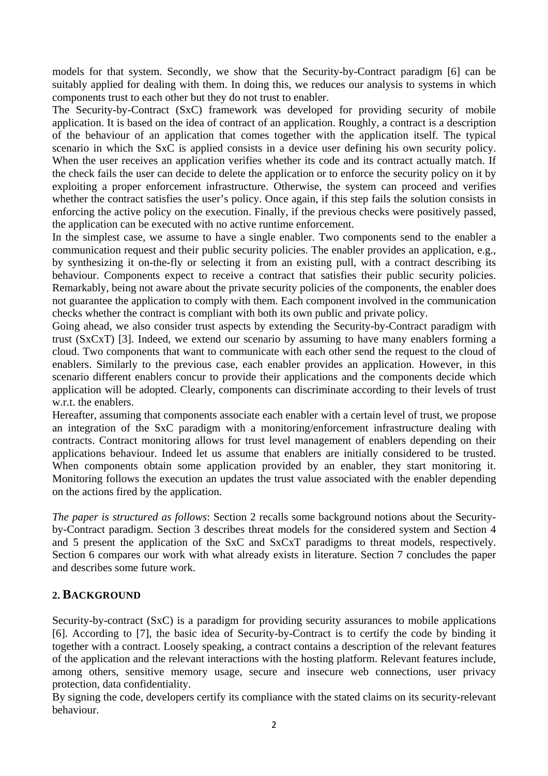models for that system. Secondly, we show that the Security-by-Contract paradigm [6] can be suitably applied for dealing with them. In doing this, we reduces our analysis to systems in which components trust to each other but they do not trust to enabler.

The Security-by-Contract (SxC) framework was developed for providing security of mobile application. It is based on the idea of contract of an application. Roughly, a contract is a description of the behaviour of an application that comes together with the application itself. The typical scenario in which the SxC is applied consists in a device user defining his own security policy. When the user receives an application verifies whether its code and its contract actually match. If the check fails the user can decide to delete the application or to enforce the security policy on it by exploiting a proper enforcement infrastructure. Otherwise, the system can proceed and verifies whether the contract satisfies the user's policy. Once again, if this step fails the solution consists in enforcing the active policy on the execution. Finally, if the previous checks were positively passed, the application can be executed with no active runtime enforcement.

In the simplest case, we assume to have a single enabler. Two components send to the enabler a communication request and their public security policies. The enabler provides an application, e.g., by synthesizing it on-the-fly or selecting it from an existing pull, with a contract describing its behaviour. Components expect to receive a contract that satisfies their public security policies. Remarkably, being not aware about the private security policies of the components, the enabler does not guarantee the application to comply with them. Each component involved in the communication checks whether the contract is compliant with both its own public and private policy.

Going ahead, we also consider trust aspects by extending the Security-by-Contract paradigm with trust (SxCxT) [3]. Indeed, we extend our scenario by assuming to have many enablers forming a cloud. Two components that want to communicate with each other send the request to the cloud of enablers. Similarly to the previous case, each enabler provides an application. However, in this scenario different enablers concur to provide their applications and the components decide which application will be adopted. Clearly, components can discriminate according to their levels of trust w.r.t. the enablers.

Hereafter, assuming that components associate each enabler with a certain level of trust, we propose an integration of the SxC paradigm with a monitoring/enforcement infrastructure dealing with contracts. Contract monitoring allows for trust level management of enablers depending on their applications behaviour. Indeed let us assume that enablers are initially considered to be trusted. When components obtain some application provided by an enabler, they start monitoring it. Monitoring follows the execution an updates the trust value associated with the enabler depending on the actions fired by the application.

*The paper is structured as follows*: Section 2 recalls some background notions about the Securityby-Contract paradigm. Section 3 describes threat models for the considered system and Section 4 and 5 present the application of the SxC and SxCxT paradigms to threat models, respectively. Section 6 compares our work with what already exists in literature. Section 7 concludes the paper and describes some future work.

#### **2. BACKGROUND**

Security-by-contract (SxC) is a paradigm for providing security assurances to mobile applications [6]. According to [7], the basic idea of Security-by-Contract is to certify the code by binding it together with a contract. Loosely speaking, a contract contains a description of the relevant features of the application and the relevant interactions with the hosting platform. Relevant features include, among others, sensitive memory usage, secure and insecure web connections, user privacy protection, data confidentiality.

By signing the code, developers certify its compliance with the stated claims on its security-relevant behaviour.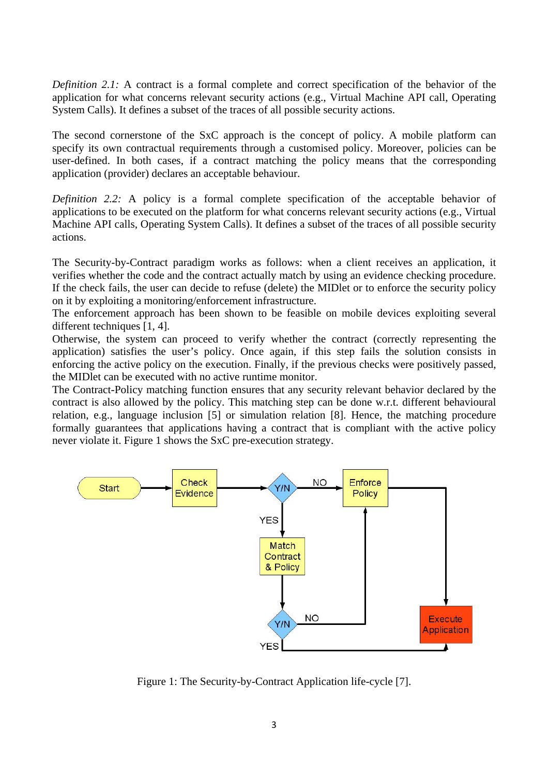*Definition 2.1:* A contract is a formal complete and correct specification of the behavior of the application for what concerns relevant security actions (e.g., Virtual Machine API call, Operating System Calls). It defines a subset of the traces of all possible security actions.

The second cornerstone of the SxC approach is the concept of policy. A mobile platform can specify its own contractual requirements through a customised policy. Moreover, policies can be user-defined. In both cases, if a contract matching the policy means that the corresponding application (provider) declares an acceptable behaviour.

*Definition 2.2:* A policy is a formal complete specification of the acceptable behavior of applications to be executed on the platform for what concerns relevant security actions (e.g., Virtual Machine API calls, Operating System Calls). It defines a subset of the traces of all possible security actions.

The Security-by-Contract paradigm works as follows: when a client receives an application, it verifies whether the code and the contract actually match by using an evidence checking procedure. If the check fails, the user can decide to refuse (delete) the MIDlet or to enforce the security policy on it by exploiting a monitoring/enforcement infrastructure.

The enforcement approach has been shown to be feasible on mobile devices exploiting several different techniques [1, 4].

Otherwise, the system can proceed to verify whether the contract (correctly representing the application) satisfies the user's policy. Once again, if this step fails the solution consists in enforcing the active policy on the execution. Finally, if the previous checks were positively passed, the MIDlet can be executed with no active runtime monitor.

The Contract-Policy matching function ensures that any security relevant behavior declared by the contract is also allowed by the policy. This matching step can be done w.r.t. different behavioural relation, e.g., language inclusion [5] or simulation relation [8]. Hence, the matching procedure formally guarantees that applications having a contract that is compliant with the active policy never violate it. Figure 1 shows the SxC pre-execution strategy.



Figure 1: The Security-by-Contract Application life-cycle [7].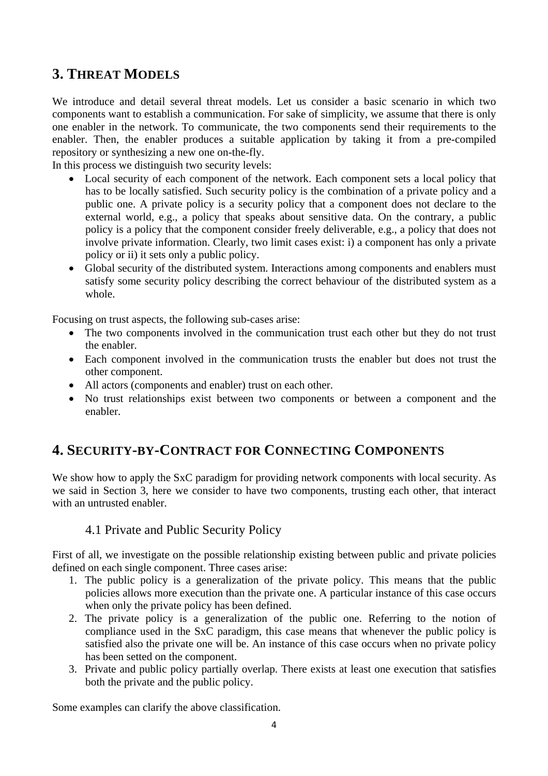## **3. THREAT MODELS**

We introduce and detail several threat models. Let us consider a basic scenario in which two components want to establish a communication. For sake of simplicity, we assume that there is only one enabler in the network. To communicate, the two components send their requirements to the enabler. Then, the enabler produces a suitable application by taking it from a pre-compiled repository or synthesizing a new one on-the-fly.

In this process we distinguish two security levels:

- Local security of each component of the network. Each component sets a local policy that has to be locally satisfied. Such security policy is the combination of a private policy and a public one. A private policy is a security policy that a component does not declare to the external world, e.g., a policy that speaks about sensitive data. On the contrary, a public policy is a policy that the component consider freely deliverable, e.g., a policy that does not involve private information. Clearly, two limit cases exist: i) a component has only a private policy or ii) it sets only a public policy.
- Global security of the distributed system. Interactions among components and enablers must satisfy some security policy describing the correct behaviour of the distributed system as a whole.

Focusing on trust aspects, the following sub-cases arise:

- The two components involved in the communication trust each other but they do not trust the enabler.
- Each component involved in the communication trusts the enabler but does not trust the other component.
- All actors (components and enabler) trust on each other.
- No trust relationships exist between two components or between a component and the enabler.

### **4. SECURITY-BY-CONTRACT FOR CONNECTING COMPONENTS**

We show how to apply the SxC paradigm for providing network components with local security. As we said in Section 3, here we consider to have two components, trusting each other, that interact with an untrusted enabler.

#### 4.1 Private and Public Security Policy

First of all, we investigate on the possible relationship existing between public and private policies defined on each single component. Three cases arise:

- 1. The public policy is a generalization of the private policy. This means that the public policies allows more execution than the private one. A particular instance of this case occurs when only the private policy has been defined.
- 2. The private policy is a generalization of the public one. Referring to the notion of compliance used in the SxC paradigm, this case means that whenever the public policy is satisfied also the private one will be. An instance of this case occurs when no private policy has been setted on the component.
- 3. Private and public policy partially overlap. There exists at least one execution that satisfies both the private and the public policy.

Some examples can clarify the above classification.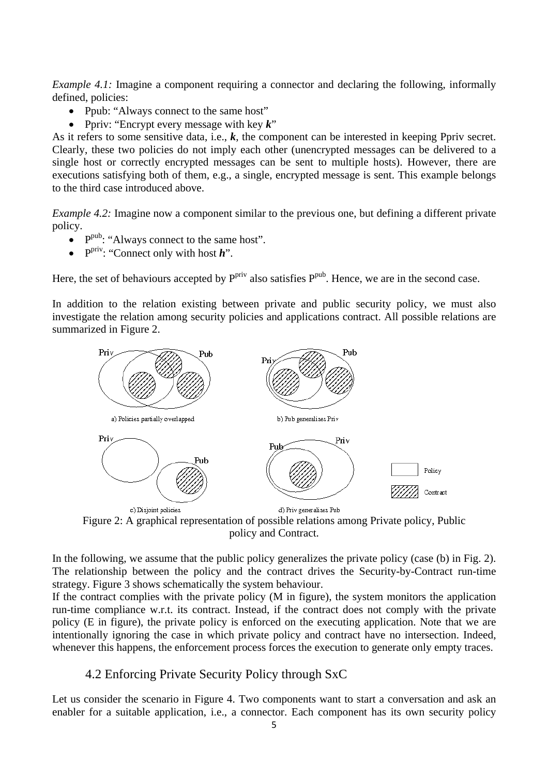*Example 4.1:* Imagine a component requiring a connector and declaring the following, informally defined, policies:

- Ppub: "Always connect to the same host"
- Ppriv: "Encrypt every message with key *k*"

As it refers to some sensitive data, i.e., *k*, the component can be interested in keeping Ppriv secret. Clearly, these two policies do not imply each other (unencrypted messages can be delivered to a single host or correctly encrypted messages can be sent to multiple hosts). However, there are executions satisfying both of them, e.g., a single, encrypted message is sent. This example belongs to the third case introduced above.

*Example 4.2:* Imagine now a component similar to the previous one, but defining a different private policy.

- $\bullet$  P<sup>pub</sup>: "Always connect to the same host".
- P<sup>priv</sup>: "Connect only with host *h*".

Here, the set of behaviours accepted by  $P<sup>priv</sup>$  also satisfies  $P<sup>pub</sup>$ . Hence, we are in the second case.

In addition to the relation existing between private and public security policy, we must also investigate the relation among security policies and applications contract. All possible relations are summarized in Figure 2.



Figure 2: A graphical representation of possible relations among Private policy, Public policy and Contract.

In the following, we assume that the public policy generalizes the private policy (case (b) in Fig. 2). The relationship between the policy and the contract drives the Security-by-Contract run-time strategy. Figure 3 shows schematically the system behaviour.

If the contract complies with the private policy (M in figure), the system monitors the application run-time compliance w.r.t. its contract. Instead, if the contract does not comply with the private policy (E in figure), the private policy is enforced on the executing application. Note that we are intentionally ignoring the case in which private policy and contract have no intersection. Indeed, whenever this happens, the enforcement process forces the execution to generate only empty traces.

### 4.2 Enforcing Private Security Policy through SxC

Let us consider the scenario in Figure 4. Two components want to start a conversation and ask an enabler for a suitable application, i.e., a connector. Each component has its own security policy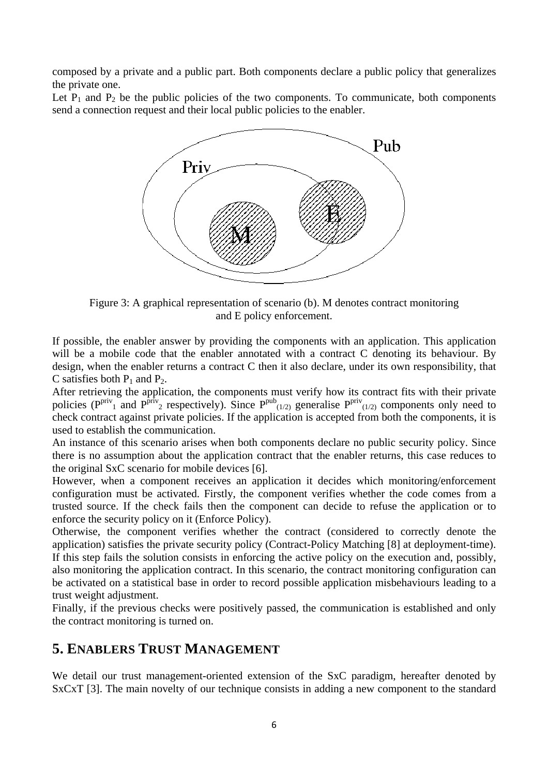composed by a private and a public part. Both components declare a public policy that generalizes the private one.

Let  $P_1$  and  $P_2$  be the public policies of the two components. To communicate, both components send a connection request and their local public policies to the enabler.



Figure 3: A graphical representation of scenario (b). M denotes contract monitoring and E policy enforcement.

If possible, the enabler answer by providing the components with an application. This application will be a mobile code that the enabler annotated with a contract C denoting its behaviour. By design, when the enabler returns a contract C then it also declare, under its own responsibility, that C satisfies both  $P_1$  and  $P_2$ .

After retrieving the application, the components must verify how its contract fits with their private policies  $(P^{priv}_{1}$  and  $P^{priv}_{2}$  respectively). Since  $P^{pub}_{(1/2)}$  generalise  $P^{priv}_{(1/2)}$  components only need to check contract against private policies. If the application is accepted from both the components, it is used to establish the communication.

An instance of this scenario arises when both components declare no public security policy. Since there is no assumption about the application contract that the enabler returns, this case reduces to the original SxC scenario for mobile devices [6].

However, when a component receives an application it decides which monitoring/enforcement configuration must be activated. Firstly, the component verifies whether the code comes from a trusted source. If the check fails then the component can decide to refuse the application or to enforce the security policy on it (Enforce Policy).

Otherwise, the component verifies whether the contract (considered to correctly denote the application) satisfies the private security policy (Contract-Policy Matching [8] at deployment-time). If this step fails the solution consists in enforcing the active policy on the execution and, possibly, also monitoring the application contract. In this scenario, the contract monitoring configuration can be activated on a statistical base in order to record possible application misbehaviours leading to a trust weight adjustment.

Finally, if the previous checks were positively passed, the communication is established and only the contract monitoring is turned on.

#### **5. ENABLERS TRUST MANAGEMENT**

We detail our trust management-oriented extension of the SxC paradigm, hereafter denoted by SxCxT [3]. The main novelty of our technique consists in adding a new component to the standard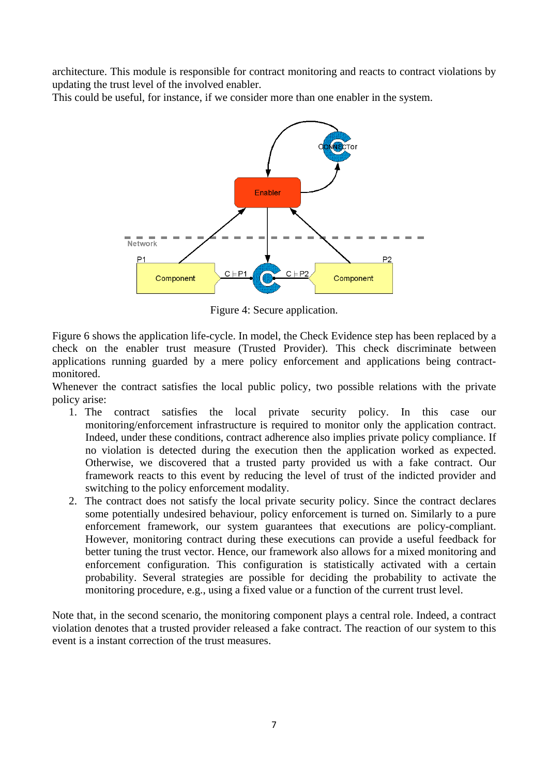architecture. This module is responsible for contract monitoring and reacts to contract violations by updating the trust level of the involved enabler.

This could be useful, for instance, if we consider more than one enabler in the system.



Figure 4: Secure application.

Figure 6 shows the application life-cycle. In model, the Check Evidence step has been replaced by a check on the enabler trust measure (Trusted Provider). This check discriminate between applications running guarded by a mere policy enforcement and applications being contractmonitored.

Whenever the contract satisfies the local public policy, two possible relations with the private policy arise:

- 1. The contract satisfies the local private security policy. In this case our monitoring/enforcement infrastructure is required to monitor only the application contract. Indeed, under these conditions, contract adherence also implies private policy compliance. If no violation is detected during the execution then the application worked as expected. Otherwise, we discovered that a trusted party provided us with a fake contract. Our framework reacts to this event by reducing the level of trust of the indicted provider and switching to the policy enforcement modality.
- 2. The contract does not satisfy the local private security policy. Since the contract declares some potentially undesired behaviour, policy enforcement is turned on. Similarly to a pure enforcement framework, our system guarantees that executions are policy-compliant. However, monitoring contract during these executions can provide a useful feedback for better tuning the trust vector. Hence, our framework also allows for a mixed monitoring and enforcement configuration. This configuration is statistically activated with a certain probability. Several strategies are possible for deciding the probability to activate the monitoring procedure, e.g., using a fixed value or a function of the current trust level.

Note that, in the second scenario, the monitoring component plays a central role. Indeed, a contract violation denotes that a trusted provider released a fake contract. The reaction of our system to this event is a instant correction of the trust measures.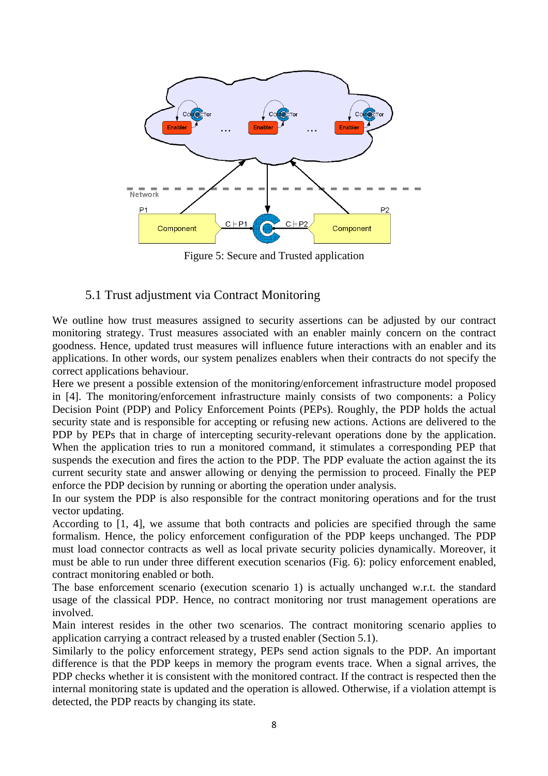

Figure 5: Secure and Trusted application

#### 5.1 Trust adjustment via Contract Monitoring

We outline how trust measures assigned to security assertions can be adjusted by our contract monitoring strategy. Trust measures associated with an enabler mainly concern on the contract goodness. Hence, updated trust measures will influence future interactions with an enabler and its applications. In other words, our system penalizes enablers when their contracts do not specify the correct applications behaviour.

Here we present a possible extension of the monitoring/enforcement infrastructure model proposed in [4]. The monitoring/enforcement infrastructure mainly consists of two components: a Policy Decision Point (PDP) and Policy Enforcement Points (PEPs). Roughly, the PDP holds the actual security state and is responsible for accepting or refusing new actions. Actions are delivered to the PDP by PEPs that in charge of intercepting security-relevant operations done by the application. When the application tries to run a monitored command, it stimulates a corresponding PEP that suspends the execution and fires the action to the PDP. The PDP evaluate the action against the its current security state and answer allowing or denying the permission to proceed. Finally the PEP enforce the PDP decision by running or aborting the operation under analysis.

In our system the PDP is also responsible for the contract monitoring operations and for the trust vector updating.

According to [1, 4], we assume that both contracts and policies are specified through the same formalism. Hence, the policy enforcement configuration of the PDP keeps unchanged. The PDP must load connector contracts as well as local private security policies dynamically. Moreover, it must be able to run under three different execution scenarios (Fig. 6): policy enforcement enabled, contract monitoring enabled or both.

The base enforcement scenario (execution scenario 1) is actually unchanged w.r.t. the standard usage of the classical PDP. Hence, no contract monitoring nor trust management operations are involved.

Main interest resides in the other two scenarios. The contract monitoring scenario applies to application carrying a contract released by a trusted enabler (Section 5.1).

Similarly to the policy enforcement strategy, PEPs send action signals to the PDP. An important difference is that the PDP keeps in memory the program events trace. When a signal arrives, the PDP checks whether it is consistent with the monitored contract. If the contract is respected then the internal monitoring state is updated and the operation is allowed. Otherwise, if a violation attempt is detected, the PDP reacts by changing its state.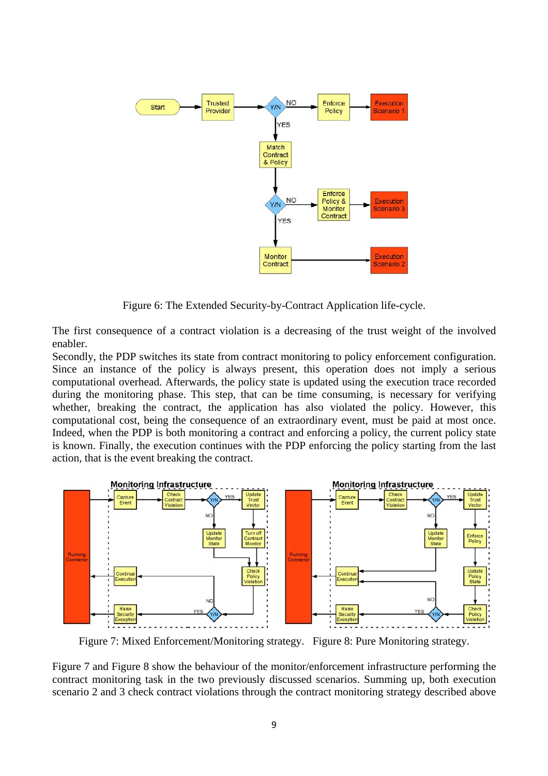

Figure 6: The Extended Security-by-Contract Application life-cycle.

The first consequence of a contract violation is a decreasing of the trust weight of the involved enabler.

Secondly, the PDP switches its state from contract monitoring to policy enforcement configuration. Since an instance of the policy is always present, this operation does not imply a serious computational overhead. Afterwards, the policy state is updated using the execution trace recorded during the monitoring phase. This step, that can be time consuming, is necessary for verifying whether, breaking the contract, the application has also violated the policy. However, this computational cost, being the consequence of an extraordinary event, must be paid at most once. Indeed, when the PDP is both monitoring a contract and enforcing a policy, the current policy state is known. Finally, the execution continues with the PDP enforcing the policy starting from the last action, that is the event breaking the contract.



Figure 7: Mixed Enforcement/Monitoring strategy. Figure 8: Pure Monitoring strategy.

Figure 7 and Figure 8 show the behaviour of the monitor/enforcement infrastructure performing the contract monitoring task in the two previously discussed scenarios. Summing up, both execution scenario 2 and 3 check contract violations through the contract monitoring strategy described above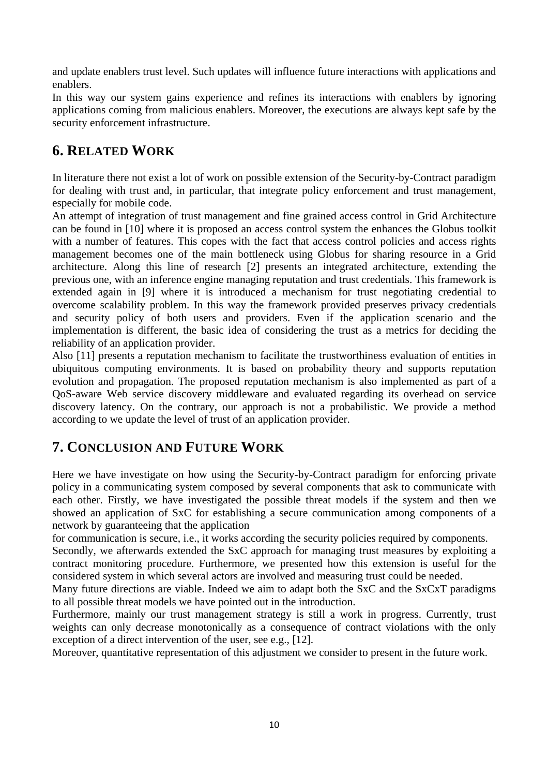and update enablers trust level. Such updates will influence future interactions with applications and enablers.

In this way our system gains experience and refines its interactions with enablers by ignoring applications coming from malicious enablers. Moreover, the executions are always kept safe by the security enforcement infrastructure.

## **6. RELATED WORK**

In literature there not exist a lot of work on possible extension of the Security-by-Contract paradigm for dealing with trust and, in particular, that integrate policy enforcement and trust management, especially for mobile code.

An attempt of integration of trust management and fine grained access control in Grid Architecture can be found in [10] where it is proposed an access control system the enhances the Globus toolkit with a number of features. This copes with the fact that access control policies and access rights management becomes one of the main bottleneck using Globus for sharing resource in a Grid architecture. Along this line of research [2] presents an integrated architecture, extending the previous one, with an inference engine managing reputation and trust credentials. This framework is extended again in [9] where it is introduced a mechanism for trust negotiating credential to overcome scalability problem. In this way the framework provided preserves privacy credentials and security policy of both users and providers. Even if the application scenario and the implementation is different, the basic idea of considering the trust as a metrics for deciding the reliability of an application provider.

Also [11] presents a reputation mechanism to facilitate the trustworthiness evaluation of entities in ubiquitous computing environments. It is based on probability theory and supports reputation evolution and propagation. The proposed reputation mechanism is also implemented as part of a QoS-aware Web service discovery middleware and evaluated regarding its overhead on service discovery latency. On the contrary, our approach is not a probabilistic. We provide a method according to we update the level of trust of an application provider.

### **7. CONCLUSION AND FUTURE WORK**

Here we have investigate on how using the Security-by-Contract paradigm for enforcing private policy in a communicating system composed by several components that ask to communicate with each other. Firstly, we have investigated the possible threat models if the system and then we showed an application of SxC for establishing a secure communication among components of a network by guaranteeing that the application

for communication is secure, i.e., it works according the security policies required by components.

Secondly, we afterwards extended the SxC approach for managing trust measures by exploiting a contract monitoring procedure. Furthermore, we presented how this extension is useful for the considered system in which several actors are involved and measuring trust could be needed.

Many future directions are viable. Indeed we aim to adapt both the SxC and the SxCxT paradigms to all possible threat models we have pointed out in the introduction.

Furthermore, mainly our trust management strategy is still a work in progress. Currently, trust weights can only decrease monotonically as a consequence of contract violations with the only exception of a direct intervention of the user, see e.g., [12].

Moreover, quantitative representation of this adjustment we consider to present in the future work.